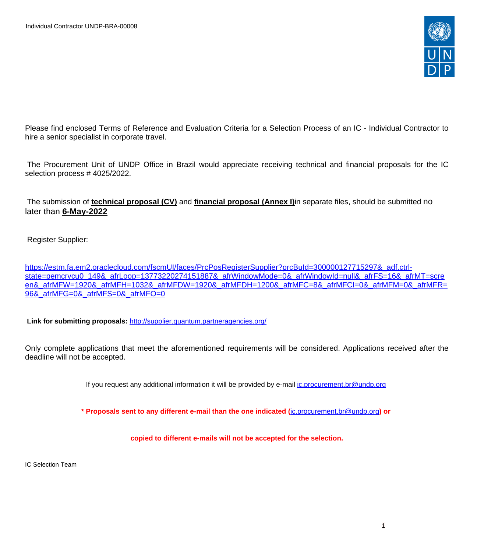

Please find enclosed Terms of Reference and Evaluation Criteria for a Selection Process of an IC - Individual Contractor to hire a senior specialist in corporate travel.

The Procurement Unit of UNDP Office in Brazil would appreciate receiving technical and financial proposals for the IC selection process #4025/2022.

The submission of **technical proposal (CV)** and **financial proposal (Annex I)**in separate files, should be submitted no later than **6-May-2022**

Register Supplier:

[https://estm.fa.em2.oraclecloud.com/fscmUI/faces/PrcPosRegisterSupplier?prcBuId=300000127715297&\\_adf.ctrl](https://estm.fa.em2.oraclecloud.com/fscmUI/faces/PrcPosRegisterSupplier?prcBuId=300000127715297&_adf.ctrl-state=pemcrvcu0_149&_afrLoop=13773220274151887&_afrWindowMode=0&_afrWindowId=null&_afrFS=16&_afrMT=screen&_afrMFW=1920&_afrMFH=1032&_afrMFDW=1920&_afrMFDH=1200&_afrMFC=8&_afrMFCI=0&_afrMFM=0&_afrMFR=96&_afrMFG=0&_afrMFS=0&_afrMFO=0)[state=pemcrvcu0\\_149&\\_afrLoop=13773220274151887&\\_afrWindowMode=0&\\_afrWindowId=null&\\_afrFS=16&\\_afrMT=scre](https://estm.fa.em2.oraclecloud.com/fscmUI/faces/PrcPosRegisterSupplier?prcBuId=300000127715297&_adf.ctrl-state=pemcrvcu0_149&_afrLoop=13773220274151887&_afrWindowMode=0&_afrWindowId=null&_afrFS=16&_afrMT=screen&_afrMFW=1920&_afrMFH=1032&_afrMFDW=1920&_afrMFDH=1200&_afrMFC=8&_afrMFCI=0&_afrMFM=0&_afrMFR=96&_afrMFG=0&_afrMFS=0&_afrMFO=0) [en&\\_afrMFW=1920&\\_afrMFH=1032&\\_afrMFDW=1920&\\_afrMFDH=1200&\\_afrMFC=8&\\_afrMFCI=0&\\_afrMFM=0&\\_afrMFR=](https://estm.fa.em2.oraclecloud.com/fscmUI/faces/PrcPosRegisterSupplier?prcBuId=300000127715297&_adf.ctrl-state=pemcrvcu0_149&_afrLoop=13773220274151887&_afrWindowMode=0&_afrWindowId=null&_afrFS=16&_afrMT=screen&_afrMFW=1920&_afrMFH=1032&_afrMFDW=1920&_afrMFDH=1200&_afrMFC=8&_afrMFCI=0&_afrMFM=0&_afrMFR=96&_afrMFG=0&_afrMFS=0&_afrMFO=0) 96& afrMFG=0& afrMFS=0& afrMFO=0

 **Link for submitting proposals:** <http://supplier.quantum.partneragencies.org/>

Only complete applications that meet the aforementioned requirements will be considered. Applications received after the deadline will not be accepted.

If you request any additional information it will be provided by e-mail [ic.procurement.br@undp.org](mailto:ic.procurement.br@undp.org)

**\* Proposals sent to any different e-mail than the one indicated (**[ic.procurement.br@undp.org](mailto:ic.procurement.br@undp.org)**) or** 

**copied to different e-mails will not be accepted for the selection.**

IC Selection Team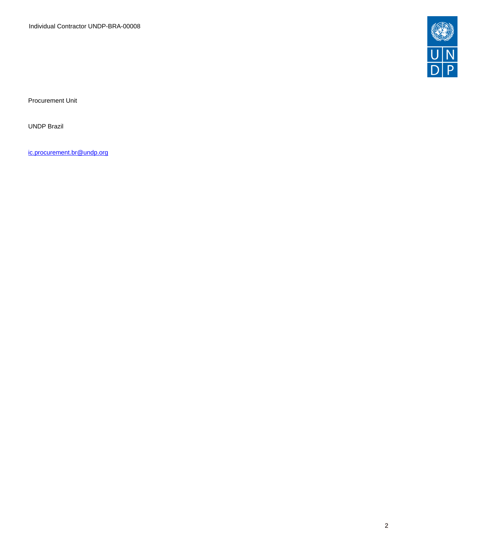Individual Contractor UNDP-BRA-00008



Procurement Unit

UNDP Brazil

[ic.procurement.br@undp.org](mailto:ic.procurement.br@undp.org)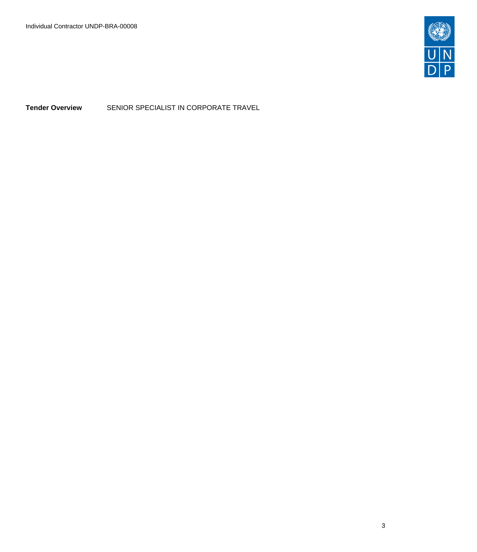

**Tender Overview** SENIOR SPECIALIST IN CORPORATE TRAVEL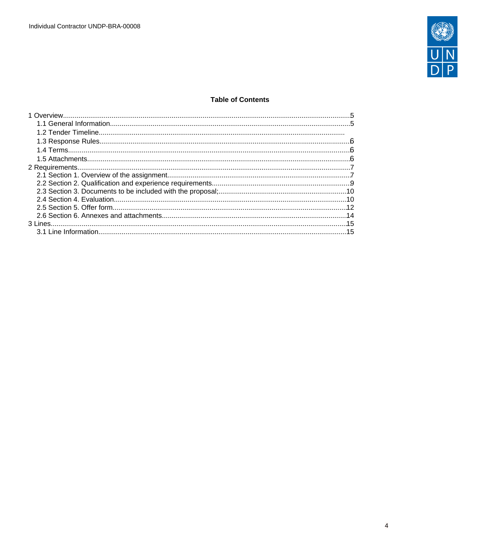

## **Table of Contents**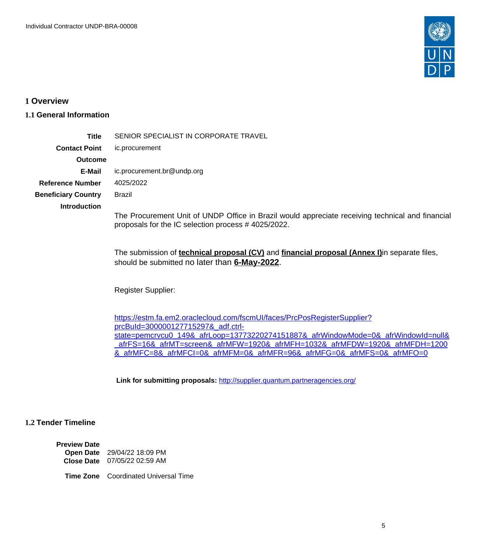

## <span id="page-4-0"></span>**1 Overview**

# <span id="page-4-1"></span>**1.1 General Information**

| Title                      | SENIOR SPECIALIST IN CORPORATE TRAVEL                                                                                                                        |
|----------------------------|--------------------------------------------------------------------------------------------------------------------------------------------------------------|
| <b>Contact Point</b>       | ic.procurement                                                                                                                                               |
| <b>Outcome</b>             |                                                                                                                                                              |
| E-Mail                     | ic.procurement.br@undp.org                                                                                                                                   |
| Reference Number           | 4025/2022                                                                                                                                                    |
| <b>Beneficiary Country</b> | Brazil                                                                                                                                                       |
| <b>Introduction</b>        |                                                                                                                                                              |
|                            | The Procurement Unit of UNDP Office in Brazil would appreciate receiving technical and financial<br>proposals for the IC selection process #4025/2022.       |
|                            | The submission of <b>technical proposal (CV)</b> and <b>financial proposal (Annex I)</b> in separate files,<br>should be submitted no later than 6-May-2022. |

Register Supplier:

[https://estm.fa.em2.oraclecloud.com/fscmUI/faces/PrcPosRegisterSupplier?](https://estm.fa.em2.oraclecloud.com/fscmUI/faces/PrcPosRegisterSupplier?prcBuId=300000127715297&_adf.ctrl-state=pemcrvcu0_149&_afrLoop=13773220274151887&_afrWindowMode=0&_afrWindowId=null&_afrFS=16&_afrMT=screen&_afrMFW=1920&_afrMFH=1032&_afrMFDW=1920&_afrMFDH=1200&_afrMFC=8&_afrMFCI=0&_afrMFM=0&_afrMFR=96&_afrMFG=0&_afrMFS=0&_afrMFO=0) [prcBuId=300000127715297&\\_adf.ctrl](https://estm.fa.em2.oraclecloud.com/fscmUI/faces/PrcPosRegisterSupplier?prcBuId=300000127715297&_adf.ctrl-state=pemcrvcu0_149&_afrLoop=13773220274151887&_afrWindowMode=0&_afrWindowId=null&_afrFS=16&_afrMT=screen&_afrMFW=1920&_afrMFH=1032&_afrMFDW=1920&_afrMFDH=1200&_afrMFC=8&_afrMFCI=0&_afrMFM=0&_afrMFR=96&_afrMFG=0&_afrMFS=0&_afrMFO=0)[state=pemcrvcu0\\_149&\\_afrLoop=13773220274151887&\\_afrWindowMode=0&\\_afrWindowId=null&](https://estm.fa.em2.oraclecloud.com/fscmUI/faces/PrcPosRegisterSupplier?prcBuId=300000127715297&_adf.ctrl-state=pemcrvcu0_149&_afrLoop=13773220274151887&_afrWindowMode=0&_afrWindowId=null&_afrFS=16&_afrMT=screen&_afrMFW=1920&_afrMFH=1032&_afrMFDW=1920&_afrMFDH=1200&_afrMFC=8&_afrMFCI=0&_afrMFM=0&_afrMFR=96&_afrMFG=0&_afrMFS=0&_afrMFO=0) [\\_afrFS=16&\\_afrMT=screen&\\_afrMFW=1920&\\_afrMFH=1032&\\_afrMFDW=1920&\\_afrMFDH=1200](https://estm.fa.em2.oraclecloud.com/fscmUI/faces/PrcPosRegisterSupplier?prcBuId=300000127715297&_adf.ctrl-state=pemcrvcu0_149&_afrLoop=13773220274151887&_afrWindowMode=0&_afrWindowId=null&_afrFS=16&_afrMT=screen&_afrMFW=1920&_afrMFH=1032&_afrMFDW=1920&_afrMFDH=1200&_afrMFC=8&_afrMFCI=0&_afrMFM=0&_afrMFR=96&_afrMFG=0&_afrMFS=0&_afrMFO=0) [&\\_afrMFC=8&\\_afrMFCI=0&\\_afrMFM=0&\\_afrMFR=96&\\_afrMFG=0&\\_afrMFS=0&\\_afrMFO=0](https://estm.fa.em2.oraclecloud.com/fscmUI/faces/PrcPosRegisterSupplier?prcBuId=300000127715297&_adf.ctrl-state=pemcrvcu0_149&_afrLoop=13773220274151887&_afrWindowMode=0&_afrWindowId=null&_afrFS=16&_afrMT=screen&_afrMFW=1920&_afrMFH=1032&_afrMFDW=1920&_afrMFDH=1200&_afrMFC=8&_afrMFCI=0&_afrMFM=0&_afrMFR=96&_afrMFG=0&_afrMFS=0&_afrMFO=0)

 **Link for submitting proposals:** <http://supplier.quantum.partneragencies.org/>

# **1.2 Tender Timeline**

**Preview Date Open Date** 29/04/22 18:09 PM **Close Date** 07/05/22 02:59 AM

**Time Zone** Coordinated Universal Time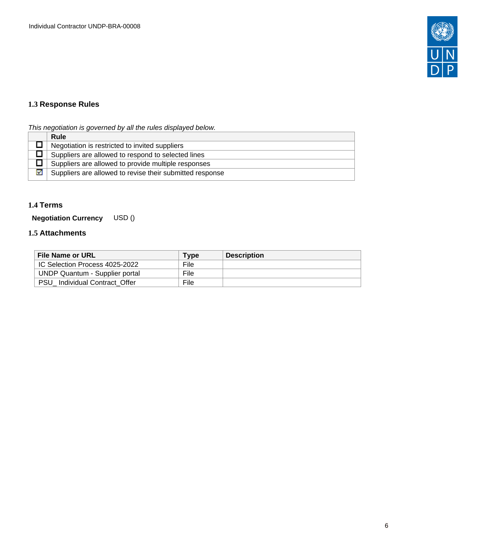

# <span id="page-5-0"></span>**1.3 Response Rules**

This negotiation is governed by all the rules displayed below.

|   | <b>Rule</b>                                              |
|---|----------------------------------------------------------|
|   | Negotiation is restricted to invited suppliers           |
|   | Suppliers are allowed to respond to selected lines       |
|   | Suppliers are allowed to provide multiple responses      |
| ☑ | Suppliers are allowed to revise their submitted response |

# <span id="page-5-1"></span>**1.4 Terms**

**Negotiation Currency** USD ()

## <span id="page-5-2"></span>**1.5 Attachments**

| File Name or URL               | Type        | <b>Description</b> |
|--------------------------------|-------------|--------------------|
| IC Selection Process 4025-2022 | <b>File</b> |                    |
| UNDP Quantum - Supplier portal | File        |                    |
| PSU Individual Contract Offer  | File        |                    |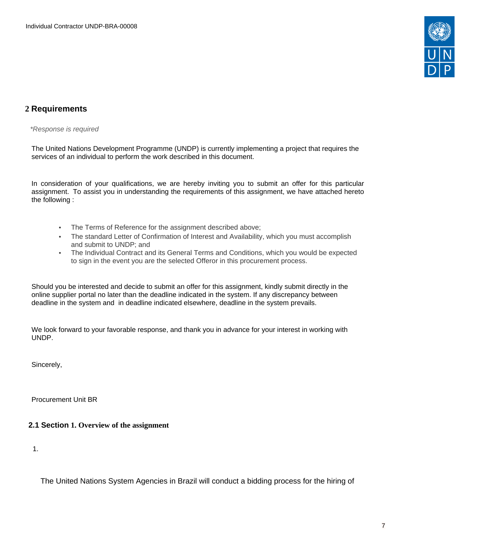

# <span id="page-6-0"></span>**2 Requirements**

\*Response is required

The United Nations Development Programme (UNDP) is currently implementing a project that requires the services of an individual to perform the work described in this document.

In consideration of your qualifications, we are hereby inviting you to submit an offer for this particular assignment. To assist you in understanding the requirements of this assignment, we have attached hereto the following :

- The Terms of Reference for the assignment described above;
- The standard Letter of Confirmation of Interest and Availability, which you must accomplish and submit to UNDP; and
- The Individual Contract and its General Terms and Conditions, which you would be expected to sign in the event you are the selected Offeror in this procurement process.

Should you be interested and decide to submit an offer for this assignment, kindly submit directly in the online supplier portal no later than the deadline indicated in the system. If any discrepancy between deadline in the system and in deadline indicated elsewhere, deadline in the system prevails.

We look forward to your favorable response, and thank you in advance for your interest in working with UNDP.

Sincerely,

Procurement Unit BR

<span id="page-6-1"></span>**2.1 Section 1. Overview of the assignment** 

1.

The United Nations System Agencies in Brazil will conduct a bidding process for the hiring of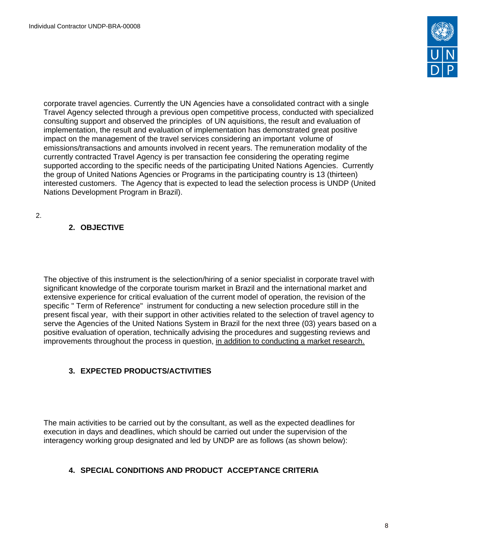

corporate travel agencies. Currently the UN Agencies have a consolidated contract with a single Travel Agency selected through a previous open competitive process, conducted with specialized consulting support and observed the principles of UN aquisitions, the result and evaluation of implementation, the result and evaluation of implementation has demonstrated great positive impact on the management of the travel services considering an important volume of emissions/transactions and amounts involved in recent years. The remuneration modality of the currently contracted Travel Agency is per transaction fee considering the operating regime supported according to the specific needs of the participating United Nations Agencies. Currently the group of United Nations Agencies or Programs in the participating country is 13 (thirteen) interested customers. The Agency that is expected to lead the selection process is UNDP (United Nations Development Program in Brazil).

2.

# **2. OBJECTIVE**

The objective of this instrument is the selection/hiring of a senior specialist in corporate travel with significant knowledge of the corporate tourism market in Brazil and the international market and extensive experience for critical evaluation of the current model of operation, the revision of the specific " Term of Reference" instrument for conducting a new selection procedure still in the present fiscal year, with their support in other activities related to the selection of travel agency to serve the Agencies of the United Nations System in Brazil for the next three (03) years based on a positive evaluation of operation, technically advising the procedures and suggesting reviews and improvements throughout the process in question, in addition to conducting a market research.

# **3. EXPECTED PRODUCTS/ACTIVITIES**

The main activities to be carried out by the consultant, as well as the expected deadlines for execution in days and deadlines, which should be carried out under the supervision of the interagency working group designated and led by UNDP are as follows (as shown below):

# **4. SPECIAL CONDITIONS AND PRODUCT ACCEPTANCE CRITERIA**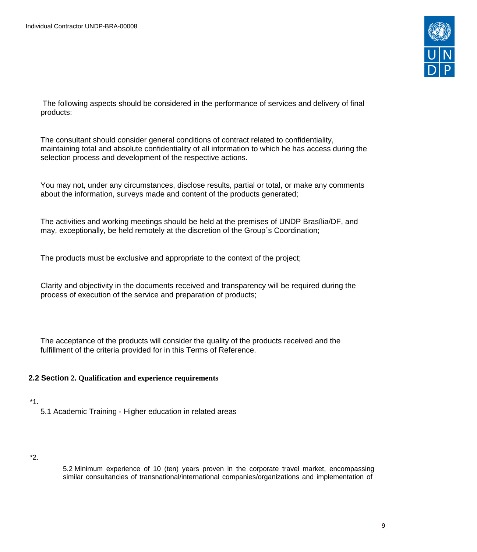

The following aspects should be considered in the performance of services and delivery of final products:

The consultant should consider general conditions of contract related to confidentiality, maintaining total and absolute confidentiality of all information to which he has access during the selection process and development of the respective actions.

You may not, under any circumstances, disclose results, partial or total, or make any comments about the information, surveys made and content of the products generated;

The activities and working meetings should be held at the premises of UNDP Brasília/DF, and may, exceptionally, be held remotely at the discretion of the Group´s Coordination;

The products must be exclusive and appropriate to the context of the project;

Clarity and objectivity in the documents received and transparency will be required during the process of execution of the service and preparation of products;

The acceptance of the products will consider the quality of the products received and the fulfillment of the criteria provided for in this Terms of Reference.

## <span id="page-8-0"></span>**2.2 Section 2. Qualification and experience requirements**

# \*1.

5.1 Academic Training - Higher education in related areas

### \*2.

5.2 Minimum experience of 10 (ten) years proven in the corporate travel market, encompassing similar consultancies of transnational/international companies/organizations and implementation of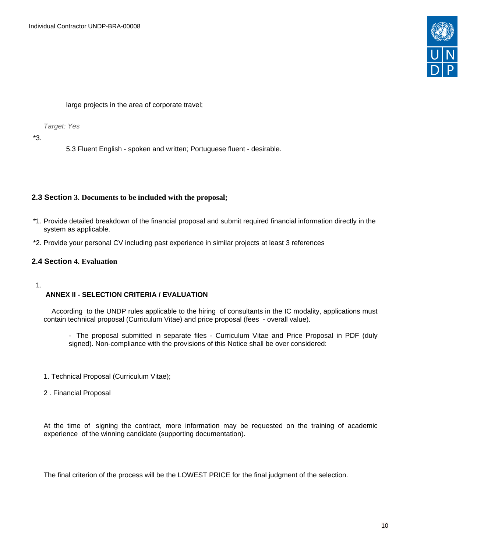

large projects in the area of corporate travel;

Target: Yes

\*3.

5.3 Fluent English - spoken and written; Portuguese fluent - desirable.

## <span id="page-9-0"></span>**2.3 Section 3. Documents to be included with the proposal;**

- \*1. Provide detailed breakdown of the financial proposal and submit required financial information directly in the system as applicable.
- \*2. Provide your personal CV including past experience in similar projects at least 3 references

## <span id="page-9-1"></span>**2.4 Section 4. Evaluation**

### 1.

### **ANNEX II - SELECTION CRITERIA / EVALUATION**

 According to the UNDP rules applicable to the hiring of consultants in the IC modality, applications must contain technical proposal (Curriculum Vitae) and price proposal (fees - overall value).

- The proposal submitted in separate files Curriculum Vitae and Price Proposal in PDF (duly signed). Non-compliance with the provisions of this Notice shall be over considered:
- 1. Technical Proposal (Curriculum Vitae);
- 2 . Financial Proposal

At the time of signing the contract, more information may be requested on the training of academic experience of the winning candidate (supporting documentation).

The final criterion of the process will be the LOWEST PRICE for the final judgment of the selection.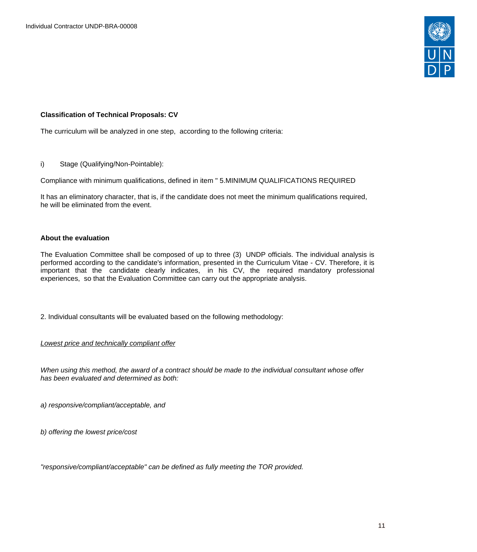

### **Classification of Technical Proposals: CV**

The curriculum will be analyzed in one step, according to the following criteria:

i) Stage (Qualifying/Non-Pointable):

Compliance with minimum qualifications, defined in item " 5.MINIMUM QUALIFICATIONS REQUIRED

It has an eliminatory character, that is, if the candidate does not meet the minimum qualifications required, he will be eliminated from the event.

### **About the evaluation**

The Evaluation Committee shall be composed of up to three (3) UNDP officials. The individual analysis is performed according to the candidate's information, presented in the Curriculum Vitae - CV. Therefore, it is important that the candidate clearly indicates, in his CV, the required mandatory professional experiences, so that the Evaluation Committee can carry out the appropriate analysis.

2. Individual consultants will be evaluated based on the following methodology:

Lowest price and technically compliant offer

When using this method, the award of a contract should be made to the individual consultant whose offer has been evaluated and determined as both:

a) responsive/compliant/acceptable, and

b) offering the lowest price/cost

"responsive/compliant/acceptable" can be defined as fully meeting the TOR provided.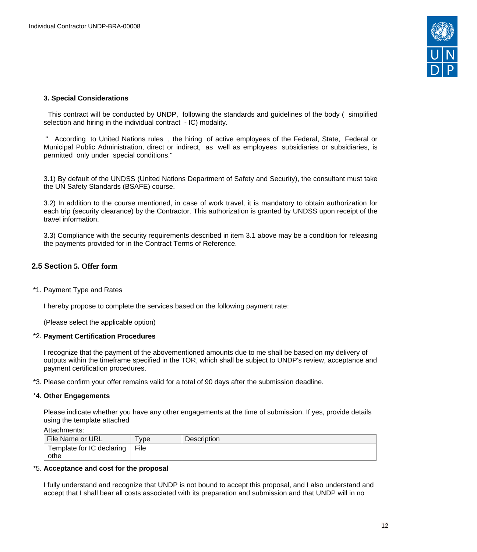

### **3. Special Considerations**

This contract will be conducted by UNDP, following the standards and guidelines of the body ( simplified selection and hiring in the individual contract - IC) modality.

 " According to United Nations rules , the hiring of active employees of the Federal, State, Federal or Municipal Public Administration, direct or indirect, as well as employees subsidiaries or subsidiaries, is permitted only under special conditions."

3.1) By default of the UNDSS (United Nations Department of Safety and Security), the consultant must take the UN Safety Standards (BSAFE) course.

3.2) In addition to the course mentioned, in case of work travel, it is mandatory to obtain authorization for each trip (security clearance) by the Contractor. This authorization is granted by UNDSS upon receipt of the travel information.

3.3) Compliance with the security requirements described in item 3.1 above may be a condition for releasing the payments provided for in the Contract Terms of Reference.

## <span id="page-11-0"></span>**2.5 Section 5. Offer form**

### \*1. Payment Type and Rates

I hereby propose to complete the services based on the following payment rate:

(Please select the applicable option)

### \*2. **Payment Certification Procedures**

I recognize that the payment of the abovementioned amounts due to me shall be based on my delivery of outputs within the timeframe specified in the TOR, which shall be subject to UNDP's review, acceptance and payment certification procedures.

\*3. Please confirm your offer remains valid for a total of 90 days after the submission deadline.

### \*4. **Other Engagements**

Please indicate whether you have any other engagements at the time of submission. If yes, provide details using the template attached

| Attachments: |  |
|--------------|--|
|--------------|--|

| File Name or URL          | <b>vpe</b> | <b>Description</b> |
|---------------------------|------------|--------------------|
| Template for IC declaring | File       |                    |
| othe                      |            |                    |

#### \*5. **Acceptance and cost for the proposal**

I fully understand and recognize that UNDP is not bound to accept this proposal, and I also understand and accept that I shall bear all costs associated with its preparation and submission and that UNDP will in no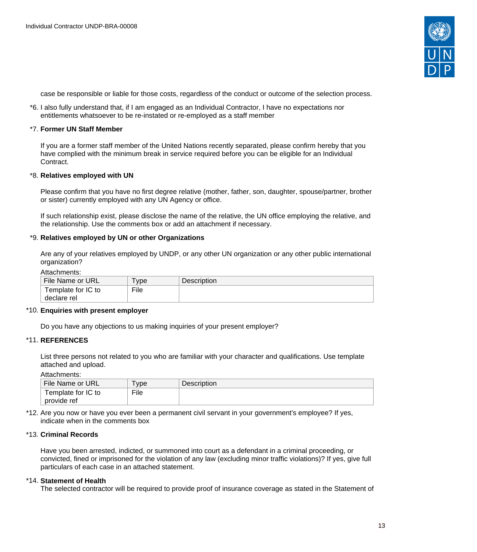

case be responsible or liable for those costs, regardless of the conduct or outcome of the selection process.

\*6. I also fully understand that, if I am engaged as an Individual Contractor, I have no expectations nor entitlements whatsoever to be re-instated or re-employed as a staff member

#### \*7. **Former UN Staff Member**

If you are a former staff member of the United Nations recently separated, please confirm hereby that you have complied with the minimum break in service required before you can be eligible for an Individual Contract.

#### \*8. **Relatives employed with UN**

Please confirm that you have no first degree relative (mother, father, son, daughter, spouse/partner, brother or sister) currently employed with any UN Agency or office.

If such relationship exist, please disclose the name of the relative, the UN office employing the relative, and the relationship. Use the comments box or add an attachment if necessary.

#### \*9. **Relatives employed by UN or other Organizations**

Are any of your relatives employed by UNDP, or any other UN organization or any other public international organization?

#### Attachments:

| File Name or URL                  | Type | <b>Description</b> |
|-----------------------------------|------|--------------------|
| Template for IC to<br>declare rel | File |                    |

### \*10. **Enquiries with present employer**

Do you have any objections to us making inquiries of your present employer?

#### \*11. **REFERENCES**

List three persons not related to you who are familiar with your character and qualifications. Use template attached and upload.

Attachments:

| File Name or URL   | ype  | Description |
|--------------------|------|-------------|
| Template for IC to | File |             |
| provide ref        |      |             |

\*12. Are you now or have you ever been a permanent civil servant in your government's employee? If yes, indicate when in the comments box

#### \*13. **Criminal Records**

Have you been arrested, indicted, or summoned into court as a defendant in a criminal proceeding, or convicted, fined or imprisoned for the violation of any law (excluding minor traffic violations)? If yes, give full particulars of each case in an attached statement.

#### \*14. **Statement of Health**

The selected contractor will be required to provide proof of insurance coverage as stated in the Statement of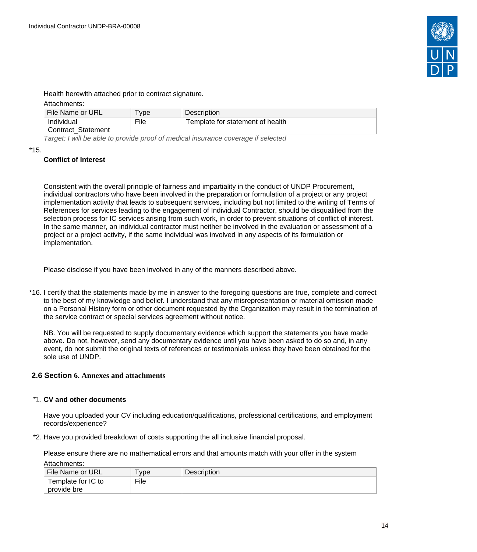

Health herewith attached prior to contract signature.

### Attachments:

| File Name or URL     | <b>vpe</b> | <b>Description</b>               |
|----------------------|------------|----------------------------------|
| Individual           | File       | Template for statement of health |
| ' Contract Statement |            |                                  |
|                      |            |                                  |

Target: I will be able to provide proof of medical insurance coverage if selected

#### \*15.

## **Conflict of Interest**

Consistent with the overall principle of fairness and impartiality in the conduct of UNDP Procurement, individual contractors who have been involved in the preparation or formulation of a project or any project implementation activity that leads to subsequent services, including but not limited to the writing of Terms of References for services leading to the engagement of Individual Contractor, should be disqualified from the selection process for IC services arising from such work, in order to prevent situations of conflict of interest. In the same manner, an individual contractor must neither be involved in the evaluation or assessment of a project or a project activity, if the same individual was involved in any aspects of its formulation or implementation.

Please disclose if you have been involved in any of the manners described above.

\*16. I certify that the statements made by me in answer to the foregoing questions are true, complete and correct to the best of my knowledge and belief. I understand that any misrepresentation or material omission made on a Personal History form or other document requested by the Organization may result in the termination of the service contract or special services agreement without notice.

NB. You will be requested to supply documentary evidence which support the statements you have made above. Do not, however, send any documentary evidence until you have been asked to do so and, in any event, do not submit the original texts of references or testimonials unless they have been obtained for the sole use of UNDP.

### <span id="page-13-0"></span>**2.6 Section 6. Annexes and attachments**

### \*1. **CV and other documents**

Have you uploaded your CV including education/qualifications, professional certifications, and employment records/experience?

\*2. Have you provided breakdown of costs supporting the all inclusive financial proposal.

Please ensure there are no mathematical errors and that amounts match with your offer in the system Attachments:

| File Name or URL   | vpe  | <b>Description</b> |
|--------------------|------|--------------------|
| Template for IC to | File |                    |
| provide bre        |      |                    |